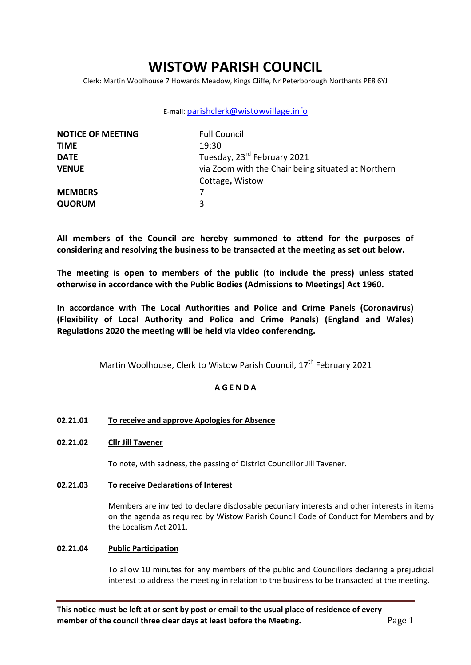# **WISTOW PARISH COUNCIL**

Clerk: Martin Woolhouse 7 Howards Meadow, Kings Cliffe, Nr Peterborough Northants PE8 6YJ

# E-mail: [parishclerk@wistowvillage.info](mailto:parishclerk@wistowvillage.info)

| <b>NOTICE OF MEETING</b> | <b>Full Council</b>                                |
|--------------------------|----------------------------------------------------|
| <b>TIME</b>              | 19:30                                              |
| <b>DATE</b>              | Tuesday, 23 <sup>rd</sup> February 2021            |
| <b>VENUE</b>             | via Zoom with the Chair being situated at Northern |
|                          | Cottage, Wistow                                    |
| <b>MEMBERS</b>           |                                                    |
| <b>QUORUM</b>            | 3                                                  |

**All members of the Council are hereby summoned to attend for the purposes of considering and resolving the business to be transacted at the meeting as set out below.** 

**The meeting is open to members of the public (to include the press) unless stated otherwise in accordance with the Public Bodies (Admissions to Meetings) Act 1960.**

**In accordance with The Local Authorities and Police and Crime Panels (Coronavirus) (Flexibility of Local Authority and Police and Crime Panels) (England and Wales) Regulations 2020 the meeting will be held via video conferencing.** 

Martin Woolhouse, Clerk to Wistow Parish Council, 17<sup>th</sup> February 2021

# **A G E N D A**

# **02.21.01 To receive and approve Apologies for Absence**

# **02.21.02 Cllr Jill Tavener**

To note, with sadness, the passing of District Councillor Jill Tavener.

**02.21.03 To receive Declarations of Interest**

Members are invited to declare disclosable pecuniary interests and other interests in items on the agenda as required by Wistow Parish Council Code of Conduct for Members and by the Localism Act 2011.

# **02.21.04 Public Participation**

To allow 10 minutes for any members of the public and Councillors declaring a prejudicial interest to address the meeting in relation to the business to be transacted at the meeting.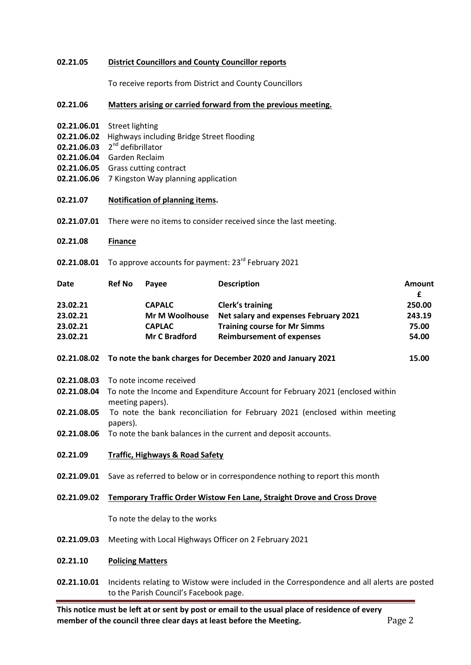### **02.21.05 District Councillors and County Councillor reports**

To receive reports from District and County Councillors

### **02.21.06 Matters arising or carried forward from the previous meeting.**

- **02.21.06.01** Street lighting
- **02.21.06.02** Highways including Bridge Street flooding
- 02.21.06.03 2<sup>nd</sup> defibrillator
- **02.21.06.04** Garden Reclaim
- **02.21.06.05** Grass cutting contract
- **02.21.06.06** 7 Kingston Way planning application
- **02.21.07 Notification of planning items.**
- **02.21.07.01** There were no items to consider received since the last meeting.
- **02.21.08 Finance**
- 02.21.08.01 To approve accounts for payment: 23<sup>rd</sup> February 2021

| Date     | <b>Ref No</b> | Pavee                 | <b>Description</b>                    | Amount |
|----------|---------------|-----------------------|---------------------------------------|--------|
|          |               |                       |                                       |        |
| 23.02.21 |               | <b>Mr M Woolhouse</b> | Net salary and expenses February 2021 | 243.19 |
| 23.02.21 |               | <b>CAPLAC</b>         | <b>Training course for Mr Simms</b>   | 75.00  |
| 23.02.21 |               | <b>Mr C Bradford</b>  | <b>Reimbursement of expenses</b>      | 54.00  |

#### **02.21.08.02 To note the bank charges for December 2020 and January 2021 15.00**

- **02.21.08.03** To note income received
- **02.21.08.04** To note the Income and Expenditure Account for February 2021 (enclosed within meeting papers).
- **02.21.08.05** To note the bank reconciliation for February 2021 (enclosed within meeting papers).
- **02.21.08.06** To note the bank balances in the current and deposit accounts.
- **02.21.09 Traffic, Highways & Road Safety**
- **02.21.09.01** Save as referred to below or in correspondence nothing to report this month

#### **02.21.09.02 Temporary Traffic Order Wistow Fen Lane, Straight Drove and Cross Drove**

To note the delay to the works

**02.21.09.03** Meeting with Local Highways Officer on 2 February 2021

#### **02.21.10 Policing Matters**

**02.21.10.01** Incidents relating to Wistow were included in the Correspondence and all alerts are posted to the Parish Council's Facebook page.